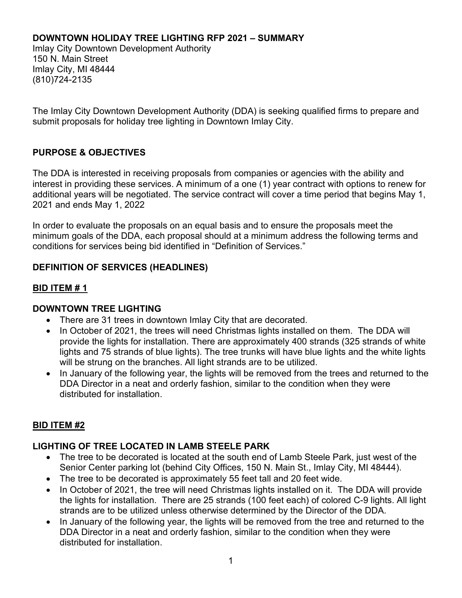#### DOWNTOWN HOLIDAY TREE LIGHTING RFP 2021 – SUMMARY

Imlay City Downtown Development Authority 150 N. Main Street Imlay City, MI 48444 (810)724-2135

The Imlay City Downtown Development Authority (DDA) is seeking qualified firms to prepare and submit proposals for holiday tree lighting in Downtown Imlay City.

## PURPOSE & OBJECTIVES

The DDA is interested in receiving proposals from companies or agencies with the ability and interest in providing these services. A minimum of a one (1) year contract with options to renew for additional years will be negotiated. The service contract will cover a time period that begins May 1, 2021 and ends May 1, 2022

In order to evaluate the proposals on an equal basis and to ensure the proposals meet the minimum goals of the DDA, each proposal should at a minimum address the following terms and conditions for services being bid identified in "Definition of Services."

## DEFINITION OF SERVICES (HEADLINES)

## BID ITEM # 1

#### DOWNTOWN TREE LIGHTING

- There are 31 trees in downtown Imlay City that are decorated.
- In October of 2021, the trees will need Christmas lights installed on them. The DDA will provide the lights for installation. There are approximately 400 strands (325 strands of white lights and 75 strands of blue lights). The tree trunks will have blue lights and the white lights will be strung on the branches. All light strands are to be utilized.
- In January of the following year, the lights will be removed from the trees and returned to the DDA Director in a neat and orderly fashion, similar to the condition when they were distributed for installation.

## BID ITEM #2

## LIGHTING OF TREE LOCATED IN LAMB STEELE PARK

- The tree to be decorated is located at the south end of Lamb Steele Park, just west of the Senior Center parking lot (behind City Offices, 150 N. Main St., Imlay City, MI 48444).
- The tree to be decorated is approximately 55 feet tall and 20 feet wide.
- In October of 2021, the tree will need Christmas lights installed on it. The DDA will provide the lights for installation. There are 25 strands (100 feet each) of colored C-9 lights. All light strands are to be utilized unless otherwise determined by the Director of the DDA.
- In January of the following year, the lights will be removed from the tree and returned to the DDA Director in a neat and orderly fashion, similar to the condition when they were distributed for installation.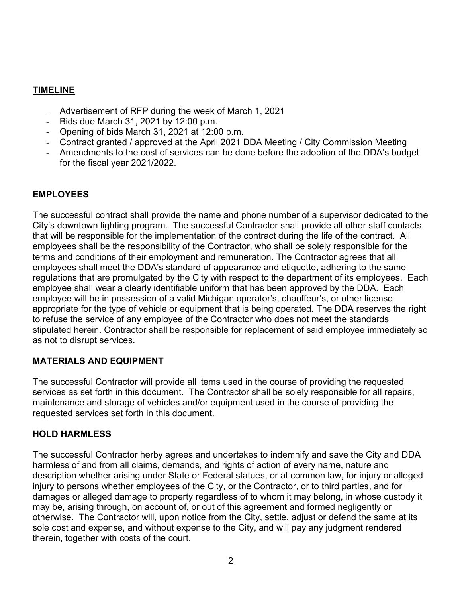## TIMELINE

- Advertisement of RFP during the week of March 1, 2021
- Bids due March 31, 2021 by 12:00 p.m.
- Opening of bids March 31, 2021 at 12:00 p.m.
- Contract granted / approved at the April 2021 DDA Meeting / City Commission Meeting
- Amendments to the cost of services can be done before the adoption of the DDA's budget for the fiscal year 2021/2022.

## EMPLOYEES

The successful contract shall provide the name and phone number of a supervisor dedicated to the City's downtown lighting program. The successful Contractor shall provide all other staff contacts that will be responsible for the implementation of the contract during the life of the contract. All employees shall be the responsibility of the Contractor, who shall be solely responsible for the terms and conditions of their employment and remuneration. The Contractor agrees that all employees shall meet the DDA's standard of appearance and etiquette, adhering to the same regulations that are promulgated by the City with respect to the department of its employees. Each employee shall wear a clearly identifiable uniform that has been approved by the DDA. Each employee will be in possession of a valid Michigan operator's, chauffeur's, or other license appropriate for the type of vehicle or equipment that is being operated. The DDA reserves the right to refuse the service of any employee of the Contractor who does not meet the standards stipulated herein. Contractor shall be responsible for replacement of said employee immediately so as not to disrupt services.

## MATERIALS AND EQUIPMENT

The successful Contractor will provide all items used in the course of providing the requested services as set forth in this document. The Contractor shall be solely responsible for all repairs, maintenance and storage of vehicles and/or equipment used in the course of providing the requested services set forth in this document.

#### HOLD HARMLESS

The successful Contractor herby agrees and undertakes to indemnify and save the City and DDA harmless of and from all claims, demands, and rights of action of every name, nature and description whether arising under State or Federal statues, or at common law, for injury or alleged injury to persons whether employees of the City, or the Contractor, or to third parties, and for damages or alleged damage to property regardless of to whom it may belong, in whose custody it may be, arising through, on account of, or out of this agreement and formed negligently or otherwise. The Contractor will, upon notice from the City, settle, adjust or defend the same at its sole cost and expense, and without expense to the City, and will pay any judgment rendered therein, together with costs of the court.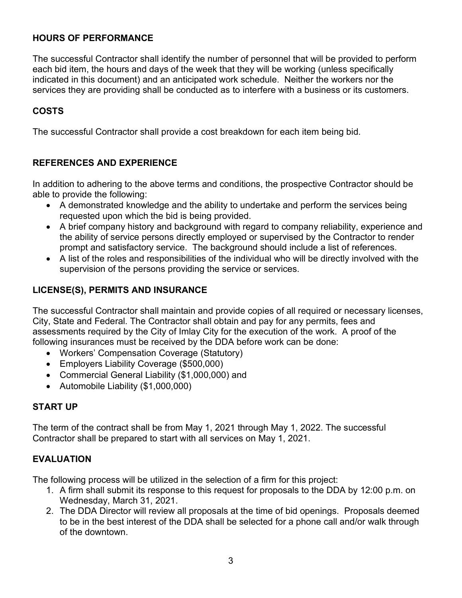### HOURS OF PERFORMANCE

The successful Contractor shall identify the number of personnel that will be provided to perform each bid item, the hours and days of the week that they will be working (unless specifically indicated in this document) and an anticipated work schedule. Neither the workers nor the services they are providing shall be conducted as to interfere with a business or its customers.

# COSTS

The successful Contractor shall provide a cost breakdown for each item being bid.

## REFERENCES AND EXPERIENCE

In addition to adhering to the above terms and conditions, the prospective Contractor should be able to provide the following:

- A demonstrated knowledge and the ability to undertake and perform the services being requested upon which the bid is being provided.
- A brief company history and background with regard to company reliability, experience and the ability of service persons directly employed or supervised by the Contractor to render prompt and satisfactory service. The background should include a list of references.
- A list of the roles and responsibilities of the individual who will be directly involved with the supervision of the persons providing the service or services.

## LICENSE(S), PERMITS AND INSURANCE

The successful Contractor shall maintain and provide copies of all required or necessary licenses, City, State and Federal. The Contractor shall obtain and pay for any permits, fees and assessments required by the City of Imlay City for the execution of the work. A proof of the following insurances must be received by the DDA before work can be done:

- Workers' Compensation Coverage (Statutory)
- Employers Liability Coverage (\$500,000)
- Commercial General Liability (\$1,000,000) and
- Automobile Liability (\$1,000,000)

## START UP

The term of the contract shall be from May 1, 2021 through May 1, 2022. The successful Contractor shall be prepared to start with all services on May 1, 2021.

## EVALUATION

The following process will be utilized in the selection of a firm for this project:

- 1. A firm shall submit its response to this request for proposals to the DDA by 12:00 p.m. on Wednesday, March 31, 2021.
- 2. The DDA Director will review all proposals at the time of bid openings. Proposals deemed to be in the best interest of the DDA shall be selected for a phone call and/or walk through of the downtown.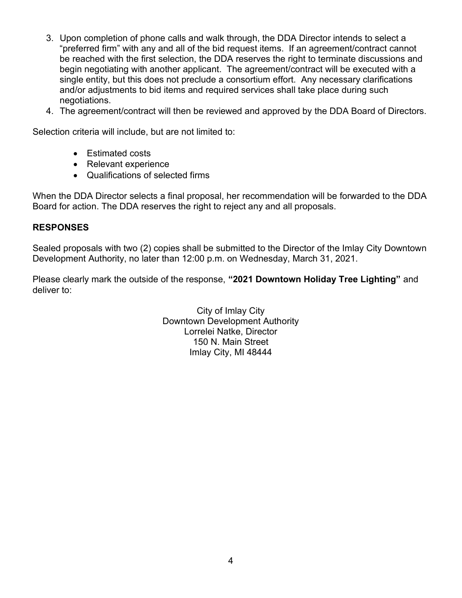- 3. Upon completion of phone calls and walk through, the DDA Director intends to select a "preferred firm" with any and all of the bid request items. If an agreement/contract cannot be reached with the first selection, the DDA reserves the right to terminate discussions and begin negotiating with another applicant. The agreement/contract will be executed with a single entity, but this does not preclude a consortium effort. Any necessary clarifications and/or adjustments to bid items and required services shall take place during such negotiations.
- 4. The agreement/contract will then be reviewed and approved by the DDA Board of Directors.

Selection criteria will include, but are not limited to:

- Estimated costs
- Relevant experience
- Qualifications of selected firms

When the DDA Director selects a final proposal, her recommendation will be forwarded to the DDA Board for action. The DDA reserves the right to reject any and all proposals.

## RESPONSES

Sealed proposals with two (2) copies shall be submitted to the Director of the Imlay City Downtown Development Authority, no later than 12:00 p.m. on Wednesday, March 31, 2021.

Please clearly mark the outside of the response, "2021 Downtown Holiday Tree Lighting" and deliver to:

> City of Imlay City Downtown Development Authority Lorrelei Natke, Director 150 N. Main Street Imlay City, MI 48444